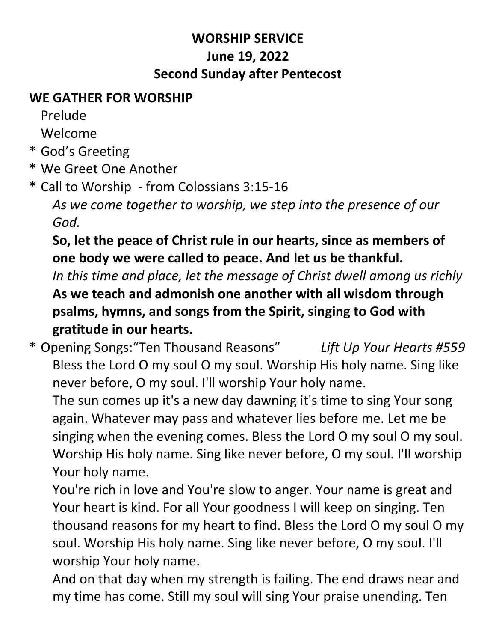## **WORSHIP SERVICE June 19, 2022 Second Sunday after Pentecost**

#### **WE GATHER FOR WORSHIP**

Prelude

Welcome

- \* God's Greeting
- \* We Greet One Another
- \* Call to Worship from Colossians 3:15-16

*As we come together to worship, we step into the presence of our God.*

# **So, let the peace of Christ rule in our hearts, since as members of one body we were called to peace. And let us be thankful.**

*In this time and place, let the message of Christ dwell among us richly* **As we teach and admonish one another with all wisdom through psalms, hymns, and songs from the Spirit, singing to God with gratitude in our hearts.**

\* Opening Songs:"Ten Thousand Reasons" *Lift Up Your Hearts #559* Bless the Lord O my soul O my soul. Worship His holy name. Sing like never before, O my soul. I'll worship Your holy name.

The sun comes up it's a new day dawning it's time to sing Your song again. Whatever may pass and whatever lies before me. Let me be singing when the evening comes. Bless the Lord O my soul O my soul. Worship His holy name. Sing like never before, O my soul. I'll worship Your holy name.

You're rich in love and You're slow to anger. Your name is great and Your heart is kind. For all Your goodness I will keep on singing. Ten thousand reasons for my heart to find. Bless the Lord O my soul O my soul. Worship His holy name. Sing like never before, O my soul. I'll worship Your holy name.

And on that day when my strength is failing. The end draws near and my time has come. Still my soul will sing Your praise unending. Ten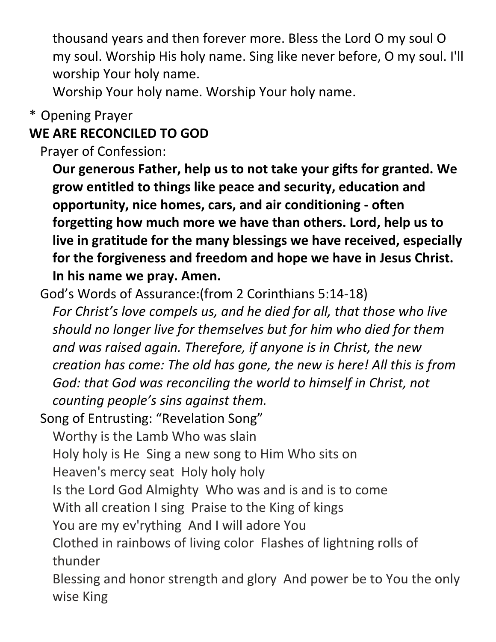thousand years and then forever more. Bless the Lord O my soul O my soul. Worship His holy name. Sing like never before, O my soul. I'll worship Your holy name.

Worship Your holy name. Worship Your holy name.

#### \* Opening Prayer

## **WE ARE RECONCILED TO GOD**

Prayer of Confession:

**Our generous Father, help us to not take your gifts for granted. We grow entitled to things like peace and security, education and opportunity, nice homes, cars, and air conditioning - often forgetting how much more we have than others. Lord, help us to live in gratitude for the many blessings we have received, especially for the forgiveness and freedom and hope we have in Jesus Christ. In his name we pray. Amen.**

- God's Words of Assurance:(from 2 Corinthians 5:14-18) *For Christ's love compels us, and he died for all, that those who live should no longer live for themselves but for him who died for them and was raised again. Therefore, if anyone is in Christ, the new creation has come: The old has gone, the new is here! All this is from*  God: that God was reconciling the world to himself in Christ, not *counting people's sins against them.*
- Song of Entrusting: "Revelation Song"
	- Worthy is the Lamb Who was slain
	- Holy holy is He Sing a new song to Him Who sits on
	- Heaven's mercy seat Holy holy holy
	- Is the Lord God Almighty Who was and is and is to come
	- With all creation I sing Praise to the King of kings
	- You are my ev'rything And I will adore You
	- Clothed in rainbows of living color Flashes of lightning rolls of thunder
	- Blessing and honor strength and glory And power be to You the only wise King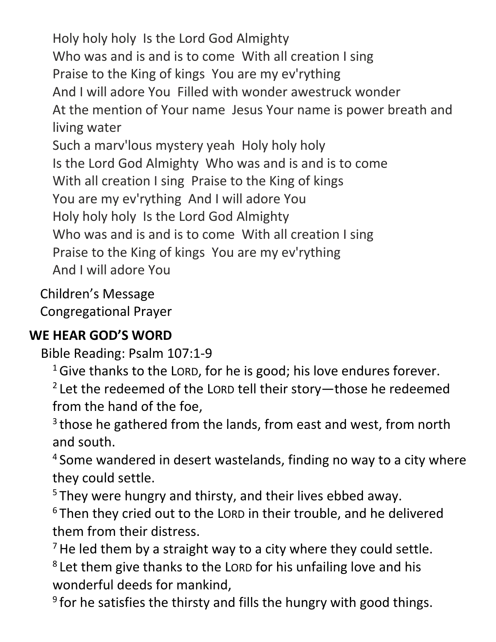Holy holy holy Is the Lord God Almighty Who was and is and is to come With all creation I sing Praise to the King of kings You are my ev'rything And I will adore You Filled with wonder awestruck wonder At the mention of Your name Jesus Your name is power breath and living water Such a marv'lous mystery yeah Holy holy holy Is the Lord God Almighty Who was and is and is to come With all creation I sing Praise to the King of kings You are my ev'rything And I will adore You Holy holy holy Is the Lord God Almighty Who was and is and is to come With all creation I sing Praise to the King of kings You are my ev'rything And I will adore You

Children's Message Congregational Prayer

#### **WE HEAR GOD'S WORD**

Bible Reading: Psalm 107:1-9

 $16$  Give thanks to the LORD, for he is good; his love endures forever.

<sup>2</sup> Let the redeemed of the LORD tell their story—those he redeemed from the hand of the foe,

<sup>3</sup> those he gathered from the lands, from east and west, from north and south.

<sup>4</sup> Some wandered in desert wastelands, finding no way to a city where they could settle.

<sup>5</sup> They were hungry and thirsty, and their lives ebbed away.

<sup>6</sup> Then they cried out to the LORD in their trouble, and he delivered them from their distress.

 $<sup>7</sup>$  He led them by a straight way to a city where they could settle.</sup>

<sup>8</sup> Let them give thanks to the LORD for his unfailing love and his wonderful deeds for mankind,

<sup>9</sup> for he satisfies the thirsty and fills the hungry with good things.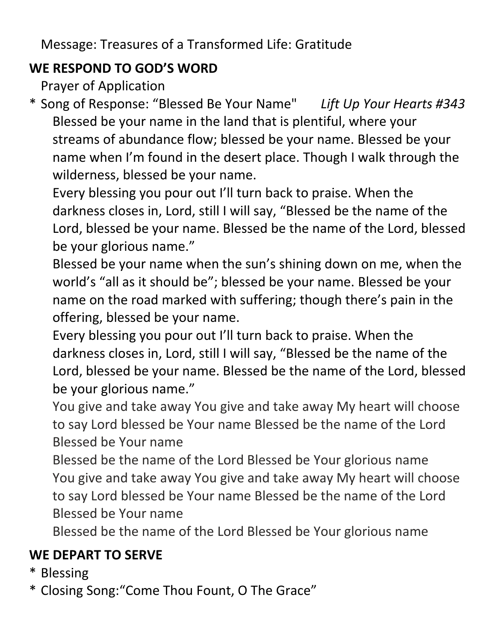Message: Treasures of a Transformed Life: Gratitude

#### **WE RESPOND TO GOD'S WORD**

Prayer of Application

\* Song of Response: "Blessed Be Your Name" *Lift Up Your Hearts #343* Blessed be your name in the land that is plentiful, where your streams of abundance flow; blessed be your name. Blessed be your name when I'm found in the desert place. Though I walk through the wilderness, blessed be your name.

Every blessing you pour out I'll turn back to praise. When the darkness closes in, Lord, still I will say, "Blessed be the name of the Lord, blessed be your name. Blessed be the name of the Lord, blessed be your glorious name."

Blessed be your name when the sun's shining down on me, when the world's "all as it should be"; blessed be your name. Blessed be your name on the road marked with suffering; though there's pain in the offering, blessed be your name.

- Every blessing you pour out I'll turn back to praise. When the darkness closes in, Lord, still I will say, "Blessed be the name of the Lord, blessed be your name. Blessed be the name of the Lord, blessed be your glorious name."
- You give and take away You give and take away My heart will choose to say Lord blessed be Your name Blessed be the name of the Lord Blessed be Your name
- Blessed be the name of the Lord Blessed be Your glorious name You give and take away You give and take away My heart will choose to say Lord blessed be Your name Blessed be the name of the Lord Blessed be Your name

Blessed be the name of the Lord Blessed be Your glorious name

## **WE DEPART TO SERVE**

- \* Blessing
- \* Closing Song:"Come Thou Fount, O The Grace"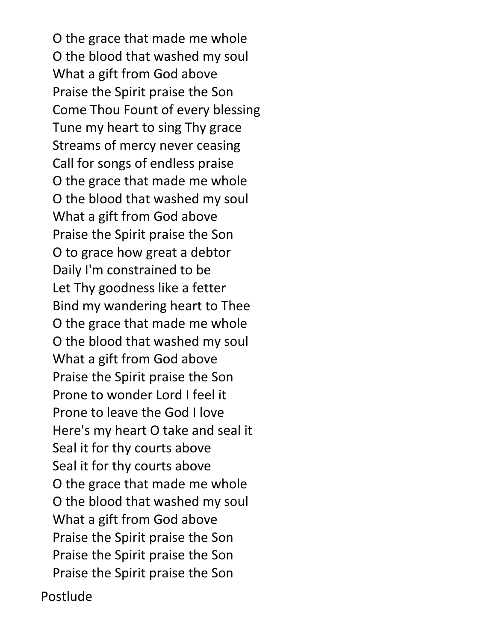O the grace that made me whole O the blood that washed my soul What a gift from God above Praise the Spirit praise the Son Come Thou Fount of every blessing Tune my heart to sing Thy grace Streams of mercy never ceasing Call for songs of endless praise O the grace that made me whole O the blood that washed my soul What a gift from God above Praise the Spirit praise the Son O to grace how great a debtor Daily I'm constrained to be Let Thy goodness like a fetter Bind my wandering heart to Thee O the grace that made me whole O the blood that washed my soul What a gift from God above Praise the Spirit praise the Son Prone to wonder Lord I feel it Prone to leave the God I love Here's my heart O take and seal it Seal it for thy courts above Seal it for thy courts above O the grace that made me whole O the blood that washed my soul What a gift from God above Praise the Spirit praise the Son Praise the Spirit praise the Son Praise the Spirit praise the Son

Postlude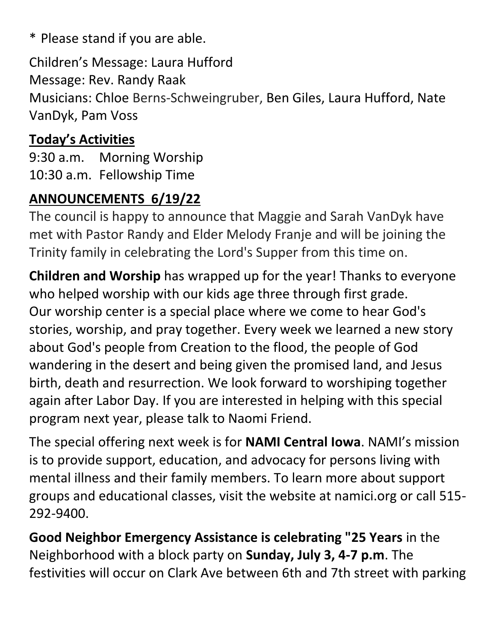\* Please stand if you are able.

Children's Message: Laura Hufford Message: Rev. Randy Raak Musicians: Chloe Berns-Schweingruber, Ben Giles, Laura Hufford, Nate VanDyk, Pam Voss

## **Today's Activities**

9:30 a.m. Morning Worship 10:30 a.m. Fellowship Time

## **ANNOUNCEMENTS 6/19/22**

The council is happy to announce that Maggie and Sarah VanDyk have met with Pastor Randy and Elder Melody Franje and will be joining the Trinity family in celebrating the Lord's Supper from this time on.

**Children and Worship** has wrapped up for the year! Thanks to everyone who helped worship with our kids age three through first grade. Our worship center is a special place where we come to hear God's stories, worship, and pray together. Every week we learned a new story about God's people from Creation to the flood, the people of God wandering in the desert and being given the promised land, and Jesus birth, death and resurrection. We look forward to worshiping together again after Labor Day. If you are interested in helping with this special program next year, please talk to Naomi Friend.

The special offering next week is for **NAMI Central Iowa**. NAMI's mission is to provide support, education, and advocacy for persons living with mental illness and their family members. To learn more about support groups and educational classes, visit the website at namici.org or call 515- 292-9400.

**Good Neighbor Emergency Assistance is celebrating "25 Years** in the Neighborhood with a block party on **Sunday, July 3, 4-7 p.m**. The festivities will occur on Clark Ave between 6th and 7th street with parking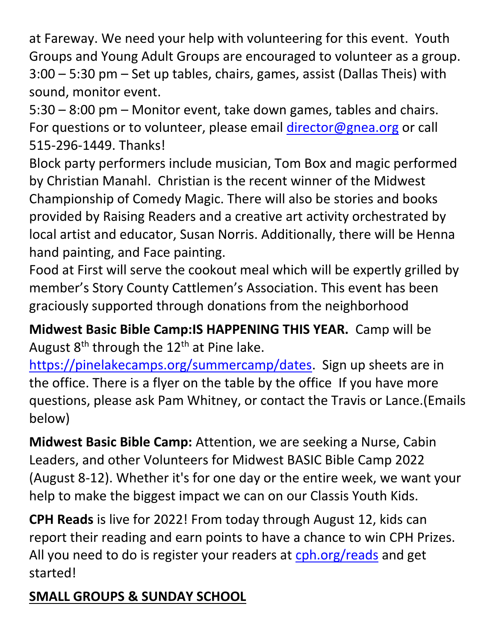at Fareway. We need your help with volunteering for this event. Youth Groups and Young Adult Groups are encouraged to volunteer as a group. 3:00 – 5:30 pm – Set up tables, chairs, games, assist (Dallas Theis) with sound, monitor event.

5:30 – 8:00 pm – Monitor event, take down games, tables and chairs. For questions or to volunteer, please email *director@gnea.org* or call 515-296-1449. Thanks!

Block party performers include musician, Tom Box and magic performed by Christian Manahl. Christian is the recent winner of the Midwest Championship of Comedy Magic. There will also be stories and books provided by Raising Readers and a creative art activity orchestrated by local artist and educator, Susan Norris. Additionally, there will be Henna hand painting, and Face painting.

Food at First will serve the cookout meal which will be expertly grilled by member's Story County Cattlemen's Association. This event has been graciously supported through donations from the neighborhood

**Midwest Basic Bible Camp:IS HAPPENING THIS YEAR.** Camp will be August  $8<sup>th</sup>$  through the 12<sup>th</sup> at Pine lake.

[https://pinelakecamps.org/summercamp/dates.](https://pinelakecamps.org/summercamp/dates) Sign up sheets are in the office. There is a flyer on the table by the office If you have more questions, please ask Pam Whitney, or contact the Travis or Lance.(Emails below)

**Midwest Basic Bible Camp:** Attention, we are seeking a Nurse, Cabin Leaders, and other Volunteers for Midwest BASIC Bible Camp 2022 (August 8-12). Whether it's for one day or the entire week, we want your help to make the biggest impact we can on our Classis Youth Kids.

**CPH Reads** is live for 2022! From today through August 12, kids can report their reading and earn points to have a chance to win CPH Prizes. All you need to do is register your readers at [cph.org/reads](https://communication.cph.org/e3t/Ctc/DH+113/c359504/VVQhsJ7gHCr6W6gpsVY8qF79JW4vJbXQ4KLQWQN9k7M9h3q3n5V1-WJV7CgZdRW8bY8LS5BnSHJW5xwhBg8X-B6zVGCD7K9m0kSVW1d-MBR4qnv1xW12PMXq70pBbgW8q90Kb6WZ0F_VWJG-D8slZlbW7Fngrp4gjpM7W2dC1W15TWT09W5w1GPx8W9zGHN2tJGRkYFDVFW4k1Zcf7jbz8vVFLKy55h-vHDW73rvFj6tzS3YW1qX6zs5_xwF0W6FDvBp8zQVDYW3SVzyd6Rv2D5W4xk2Cd6B1CVMW4H_RJH1sxP4KW2xSFp738gbNH36TH1) and get started!

# **SMALL GROUPS & SUNDAY SCHOOL**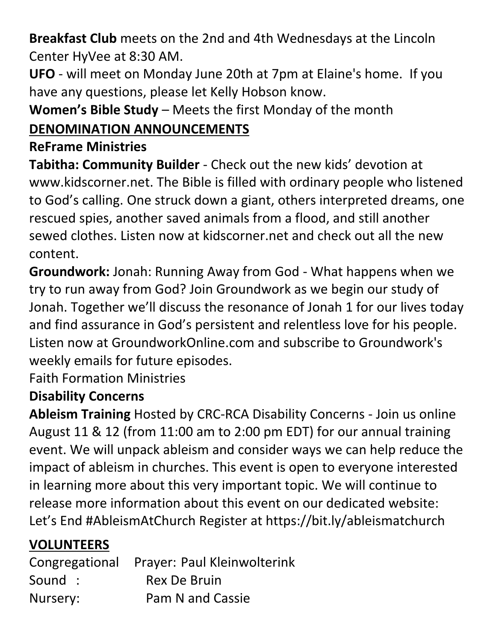**Breakfast Club** meets on the 2nd and 4th Wednesdays at the Lincoln Center HyVee at 8:30 AM.

**UFO** - will meet on Monday June 20th at 7pm at Elaine's home. If you have any questions, please let Kelly Hobson know.

**Women's Bible Study** – Meets the first Monday of the month

# **DENOMINATION ANNOUNCEMENTS**

#### **ReFrame Ministries**

**Tabitha: Community Builder** - Check out the new kids' devotion at www.kidscorner.net. The Bible is filled with ordinary people who listened to God's calling. One struck down a giant, others interpreted dreams, one rescued spies, another saved animals from a flood, and still another sewed clothes. Listen now at kidscorner.net and check out all the new content.

**Groundwork:** Jonah: Running Away from God - What happens when we try to run away from God? Join Groundwork as we begin our study of Jonah. Together we'll discuss the resonance of Jonah 1 for our lives today and find assurance in God's persistent and relentless love for his people. Listen now at GroundworkOnline.com and subscribe to Groundwork's weekly emails for future episodes.

Faith Formation Ministries

#### **Disability Concerns**

**Ableism Training** Hosted by CRC-RCA Disability Concerns - Join us online August 11 & 12 (from 11:00 am to 2:00 pm EDT) for our annual training event. We will unpack ableism and consider ways we can help reduce the impact of ableism in churches. This event is open to everyone interested in learning more about this very important topic. We will continue to release more information about this event on our dedicated website: Let's End #AbleismAtChurch Register at https://bit.ly/ableismatchurch

## **VOLUNTEERS**

|          | Congregational Prayer: Paul Kleinwolterink |
|----------|--------------------------------------------|
| Sound :  | Rex De Bruin                               |
| Nursery: | <b>Pam N and Cassie</b>                    |